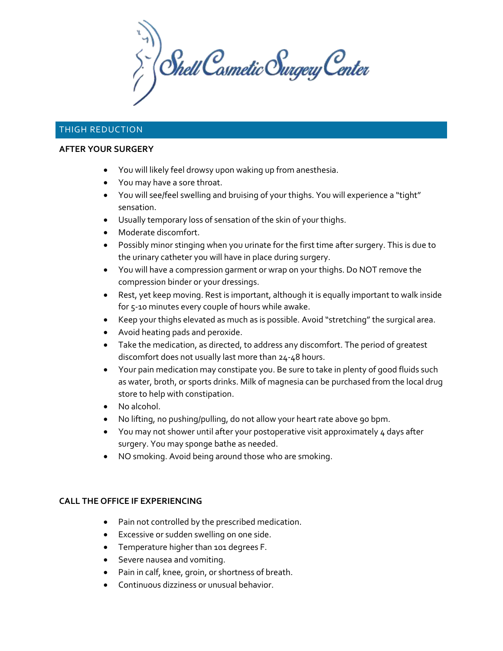$\sum_{i}^{n}$  Shell Cosmetic Surgery Center

# THIGH REDUCTION

### **AFTER YOUR SURGERY**

- You will likely feel drowsy upon waking up from anesthesia.
- You may have a sore throat.
- You will see/feel swelling and bruising of your thighs. You will experience a "tight" sensation.
- Usually temporary loss of sensation of the skin of your thighs.
- Moderate discomfort.
- Possibly minor stinging when you urinate for the first time after surgery. This is due to the urinary catheter you will have in place during surgery.
- You will have a compression garment or wrap on your thighs. Do NOT remove the compression binder or your dressings.
- Rest, yet keep moving. Rest is important, although it is equally important to walk inside for 5-10 minutes every couple of hours while awake.
- Keep your thighs elevated as much as is possible. Avoid "stretching" the surgical area.
- Avoid heating pads and peroxide.
- Take the medication, as directed, to address any discomfort. The period of greatest discomfort does not usually last more than 24-48 hours.
- Your pain medication may constipate you. Be sure to take in plenty of good fluids such as water, broth, or sports drinks. Milk of magnesia can be purchased from the local drug store to help with constipation.
- No alcohol.
- No lifting, no pushing/pulling, do not allow your heart rate above 90 bpm.
- You may not shower until after your postoperative visit approximately 4 days after surgery. You may sponge bathe as needed.
- NO smoking. Avoid being around those who are smoking.

## **CALL THE OFFICE IF EXPERIENCING**

- Pain not controlled by the prescribed medication.
- Excessive or sudden swelling on one side.
- Temperature higher than 101 degrees F.
- Severe nausea and vomiting.
- Pain in calf, knee, groin, or shortness of breath.
- Continuous dizziness or unusual behavior.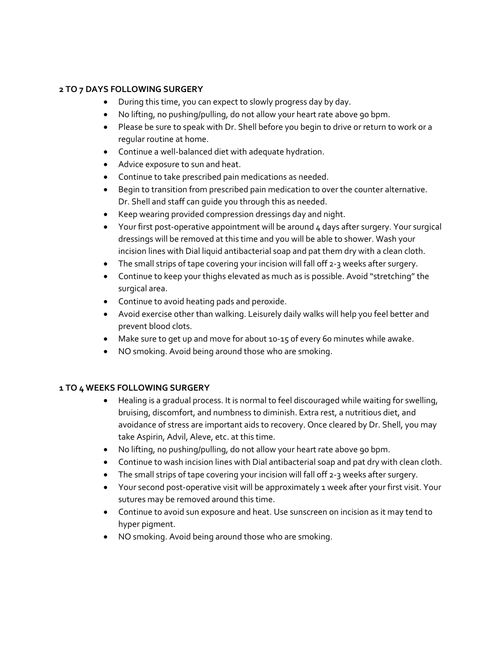## **2 TO 7 DAYS FOLLOWING SURGERY**

- During this time, you can expect to slowly progress day by day.
- No lifting, no pushing/pulling, do not allow your heart rate above 90 bpm.
- Please be sure to speak with Dr. Shell before you begin to drive or return to work or a regular routine at home.
- Continue a well-balanced diet with adequate hydration.
- Advice exposure to sun and heat.
- Continue to take prescribed pain medications as needed.
- Begin to transition from prescribed pain medication to over the counter alternative. Dr. Shell and staff can guide you through this as needed.
- Keep wearing provided compression dressings day and night.
- Your first post-operative appointment will be around 4 days after surgery. Your surgical dressings will be removed at this time and you will be able to shower. Wash your incision lines with Dial liquid antibacterial soap and pat them dry with a clean cloth.
- The small strips of tape covering your incision will fall off 2-3 weeks after surgery.
- Continue to keep your thighs elevated as much as is possible. Avoid "stretching" the surgical area.
- Continue to avoid heating pads and peroxide.
- Avoid exercise other than walking. Leisurely daily walks will help you feel better and prevent blood clots.
- Make sure to get up and move for about 10-15 of every 60 minutes while awake.
- NO smoking. Avoid being around those who are smoking.

## **1 TO 4 WEEKS FOLLOWING SURGERY**

- Healing is a gradual process. It is normal to feel discouraged while waiting for swelling, bruising, discomfort, and numbness to diminish. Extra rest, a nutritious diet, and avoidance of stress are important aids to recovery. Once cleared by Dr. Shell, you may take Aspirin, Advil, Aleve, etc. at this time.
- No lifting, no pushing/pulling, do not allow your heart rate above 90 bpm.
- Continue to wash incision lines with Dial antibacterial soap and pat dry with clean cloth.
- The small strips of tape covering your incision will fall off 2-3 weeks after surgery.
- Your second post-operative visit will be approximately 1 week after your first visit. Your sutures may be removed around this time.
- Continue to avoid sun exposure and heat. Use sunscreen on incision as it may tend to hyper pigment.
- NO smoking. Avoid being around those who are smoking.